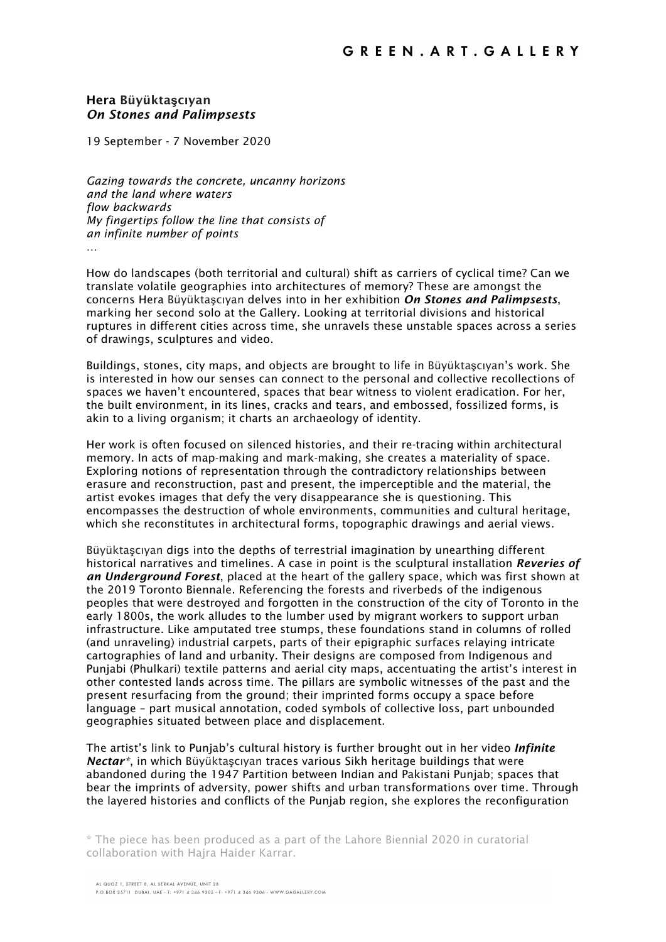## Hera Büyükta**ş**cıyan *On Stones and Palimpsests*

19 September - 7 November 2020

*Gazing towards the concrete, uncanny horizons and the land where waters flow backwards My fingertips follow the line that consists of an infinite number of points* …

How do landscapes (both territorial and cultural) shift as carriers of cyclical time? Can we translate volatile geographies into architectures of memory? These are amongst the concerns Hera Büyüktaşcıyan delves into in her exhibition *On Stones and Palimpsests*, marking her second solo at the Gallery. Looking at territorial divisions and historical ruptures in different cities across time, she unravels these unstable spaces across a series of drawings, sculptures and video.

Buildings, stones, city maps, and objects are brought to life in Büyüktaşcıyan's work. She is interested in how our senses can connect to the personal and collective recollections of spaces we haven't encountered, spaces that bear witness to violent eradication. For her, the built environment, in its lines, cracks and tears, and embossed, fossilized forms, is akin to a living organism; it charts an archaeology of identity.

Her work is often focused on silenced histories, and their re-tracing within architectural memory. In acts of map-making and mark-making, she creates a materiality of space. Exploring notions of representation through the contradictory relationships between erasure and reconstruction, past and present, the imperceptible and the material, the artist evokes images that defy the very disappearance she is questioning. This encompasses the destruction of whole environments, communities and cultural heritage, which she reconstitutes in architectural forms, topographic drawings and aerial views.

Büyüktaşcıyan digs into the depths of terrestrial imagination by unearthing different historical narratives and timelines. A case in point is the sculptural installation *Reveries of an Underground Forest*, placed at the heart of the gallery space, which was first shown at the 2019 Toronto Biennale. Referencing the forests and riverbeds of the indigenous peoples that were destroyed and forgotten in the construction of the city of Toronto in the early 1800s, the work alludes to the lumber used by migrant workers to support urban infrastructure. Like amputated tree stumps, these foundations stand in columns of rolled (and unraveling) industrial carpets, parts of their epigraphic surfaces relaying intricate cartographies of land and urbanity. Their designs are composed from Indigenous and Punjabi (Phulkari) textile patterns and aerial city maps, accentuating the artist's interest in other contested lands across time. The pillars are symbolic witnesses of the past and the present resurfacing from the ground; their imprinted forms occupy a space before language – part musical annotation, coded symbols of collective loss, part unbounded geographies situated between place and displacement.

The artist's link to Punjab's cultural history is further brought out in her video *Infinite Nectar\**, in which Büyüktaşcıyan traces various Sikh heritage buildings that were abandoned during the 1947 Partition between Indian and Pakistani Punjab; spaces that bear the imprints of adversity, power shifts and urban transformations over time. Through the layered histories and conflicts of the Punjab region, she explores the reconfiguration

\* The piece has been produced as a part of the Lahore Biennial 2020 in curatorial collaboration with Hajra Haider Karrar.